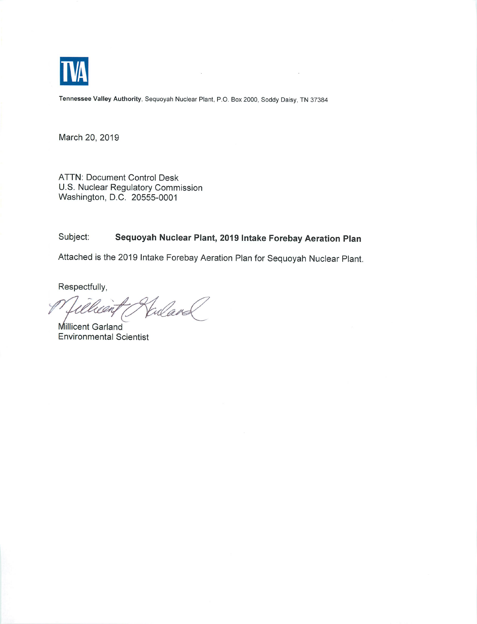

*Tennessee Valley Authority,* Sequoyah Nuclear Plant, P.O. Box 2000, Soddy Daisy, TN 37384

i,

March 20, 2019

ATTN: Document Control Desk U.S. Nuclear Regulatory Commission Washington, D.C. 20555-0001

## Subject: *Sequoyah Nuclear Plant, 2019 Intake Forebay Aeration Plan*

Attached is the 2019 Intake Forebay Aeration Plan for Sequoyah Nuclear Plant.

Respectfully,

Fuland rean

Millicent Garland Environmental Scientist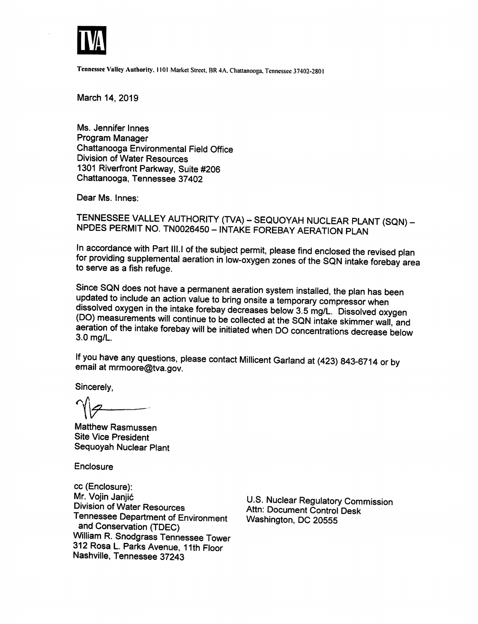

*Tennessee Valley Authority. 1101* Market Street, BR 4A. Chattanooga, Tennessee 37402-2801

*March 14, 2019*

*Ms. Jennifer Innes Program Manager Chattanooga Environmental Field Office Division ofWater Resources 1301 Riverfront Parkway, Suite #206 Chattanooga, Tennessee 37402*

*Dear Ms. Innes:*

TENNESSEE VALLEY AUTHORITY (TVA) – SEQUOYAH NUCLEAR PLANT (SQN) –<br>NPDES PERMIT NO. TN0026450 – INTAKE FOREBAY AERATION PLAN

*In accordance with Part III.I of the subject permit, please find enclosed the revised plan for providing supplemental aeration in low-oxygen zones of the SQN intake forebay area to serve as a fish refuge.*

*Since SQN does not have a permanent aeration system installed, the plan has been updated to include an action value to bring onsite atemporary compressor when dissolved oxygen in the intake forebay decreases below 3.5 mg/L. Dissolved oxygen (DO) measurements will continue to be collected at the SQN intake skimmer wall and aeration ofthe intake forebay will be initiated when DO concentrations decrease below 3.0 mg/L.*

*If you have any questions, please contact Millicent Garland at (423) 843-6714 or bv email at mrmoore@tva.gov.*

*Sincerely,*

*If Matthew Rasmussen*

*Site Vice President Sequoyah Nuclear Plant*

*Enclosure*

*cc (Enclosure): nl*, *of <i>US.* Nuclear *Regulatory Commission Division of Water Resources Attn: Document Control Desk Tennessee Department of Environment Washington DC 20555 and Conservation (TDEC) William R. Snodgrass Tennessee Tower 312 Rosa L Parks Avenue, 11th Floor Nashville, Tennessee 37243*